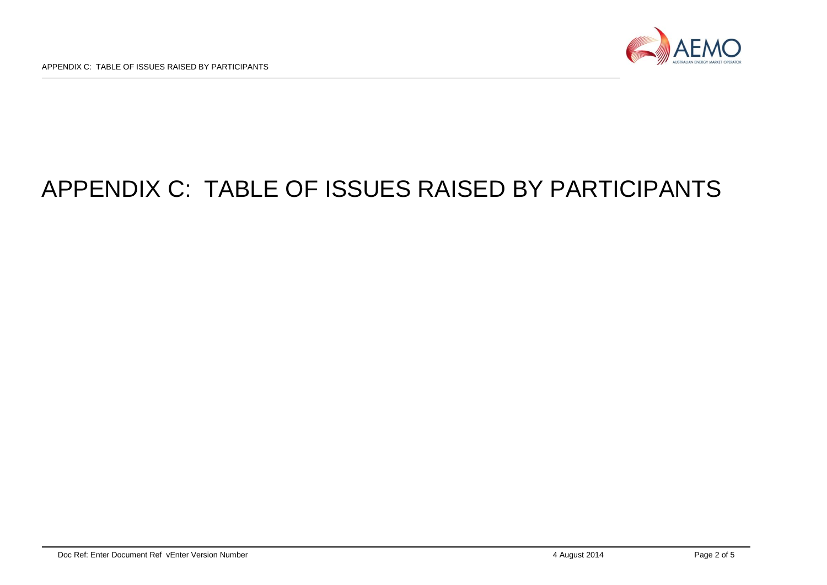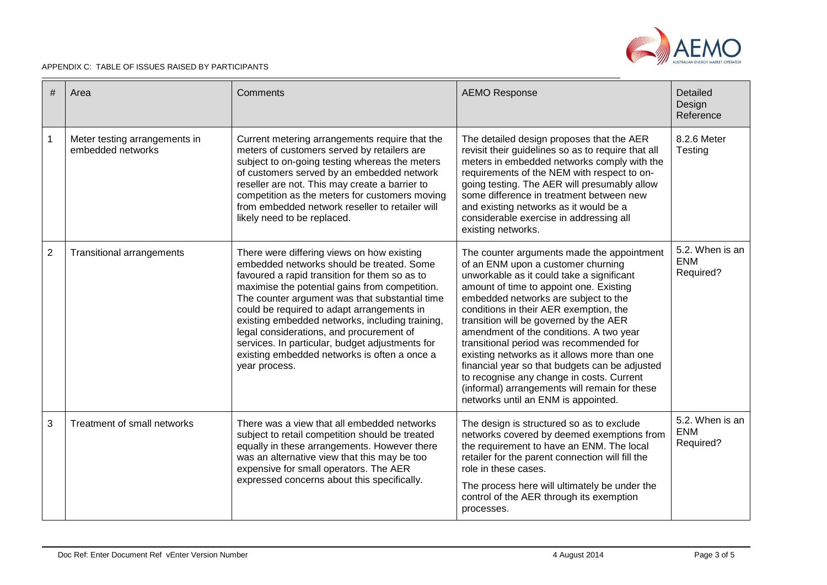

| # | Area                                               | Comments                                                                                                                                                                                                                                                                                                                                                                                                                                                                                                      | <b>AEMO Response</b>                                                                                                                                                                                                                                                                                                                                                                                                                                                                                                                                                                                                              | Detailed<br>Design<br>Reference            |
|---|----------------------------------------------------|---------------------------------------------------------------------------------------------------------------------------------------------------------------------------------------------------------------------------------------------------------------------------------------------------------------------------------------------------------------------------------------------------------------------------------------------------------------------------------------------------------------|-----------------------------------------------------------------------------------------------------------------------------------------------------------------------------------------------------------------------------------------------------------------------------------------------------------------------------------------------------------------------------------------------------------------------------------------------------------------------------------------------------------------------------------------------------------------------------------------------------------------------------------|--------------------------------------------|
| 1 | Meter testing arrangements in<br>embedded networks | Current metering arrangements require that the<br>meters of customers served by retailers are<br>subject to on-going testing whereas the meters<br>of customers served by an embedded network<br>reseller are not. This may create a barrier to<br>competition as the meters for customers moving<br>from embedded network reseller to retailer will<br>likely need to be replaced.                                                                                                                           | The detailed design proposes that the AER<br>revisit their guidelines so as to require that all<br>meters in embedded networks comply with the<br>requirements of the NEM with respect to on-<br>going testing. The AER will presumably allow<br>some difference in treatment between new<br>and existing networks as it would be a<br>considerable exercise in addressing all<br>existing networks.                                                                                                                                                                                                                              | 8.2.6 Meter<br>Testing                     |
| 2 | <b>Transitional arrangements</b>                   | There were differing views on how existing<br>embedded networks should be treated. Some<br>favoured a rapid transition for them so as to<br>maximise the potential gains from competition.<br>The counter argument was that substantial time<br>could be required to adapt arrangements in<br>existing embedded networks, including training,<br>legal considerations, and procurement of<br>services. In particular, budget adjustments for<br>existing embedded networks is often a once a<br>year process. | The counter arguments made the appointment<br>of an ENM upon a customer churning<br>unworkable as it could take a significant<br>amount of time to appoint one. Existing<br>embedded networks are subject to the<br>conditions in their AER exemption, the<br>transition will be governed by the AER<br>amendment of the conditions. A two year<br>transitional period was recommended for<br>existing networks as it allows more than one<br>financial year so that budgets can be adjusted<br>to recognise any change in costs. Current<br>(informal) arrangements will remain for these<br>networks until an ENM is appointed. | 5.2. When is an<br><b>ENM</b><br>Required? |
| 3 | Treatment of small networks                        | There was a view that all embedded networks<br>subject to retail competition should be treated<br>equally in these arrangements. However there<br>was an alternative view that this may be too<br>expensive for small operators. The AER<br>expressed concerns about this specifically.                                                                                                                                                                                                                       | The design is structured so as to exclude<br>networks covered by deemed exemptions from<br>the requirement to have an ENM. The local<br>retailer for the parent connection will fill the<br>role in these cases.<br>The process here will ultimately be under the<br>control of the AER through its exemption<br>processes.                                                                                                                                                                                                                                                                                                       | 5.2. When is an<br><b>ENM</b><br>Required? |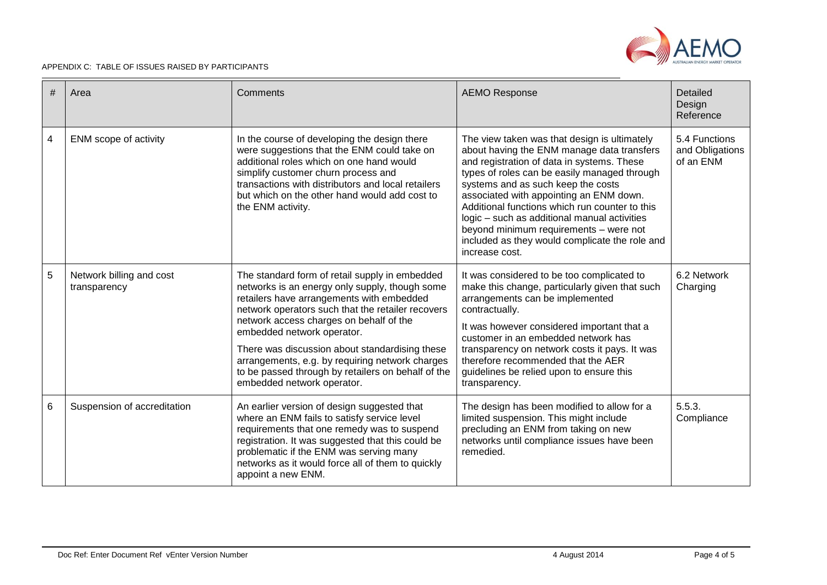

| # | Area                                     | Comments                                                                                                                                                                                                                                                                                                                                                                                                                                                             | <b>AEMO Response</b>                                                                                                                                                                                                                                                                                                                                                                                                                                                                      | Detailed<br>Design<br>Reference               |
|---|------------------------------------------|----------------------------------------------------------------------------------------------------------------------------------------------------------------------------------------------------------------------------------------------------------------------------------------------------------------------------------------------------------------------------------------------------------------------------------------------------------------------|-------------------------------------------------------------------------------------------------------------------------------------------------------------------------------------------------------------------------------------------------------------------------------------------------------------------------------------------------------------------------------------------------------------------------------------------------------------------------------------------|-----------------------------------------------|
| 4 | ENM scope of activity                    | In the course of developing the design there<br>were suggestions that the ENM could take on<br>additional roles which on one hand would<br>simplify customer churn process and<br>transactions with distributors and local retailers<br>but which on the other hand would add cost to<br>the ENM activity.                                                                                                                                                           | The view taken was that design is ultimately<br>about having the ENM manage data transfers<br>and registration of data in systems. These<br>types of roles can be easily managed through<br>systems and as such keep the costs<br>associated with appointing an ENM down.<br>Additional functions which run counter to this<br>logic - such as additional manual activities<br>beyond minimum requirements - were not<br>included as they would complicate the role and<br>increase cost. | 5.4 Functions<br>and Obligations<br>of an ENM |
| 5 | Network billing and cost<br>transparency | The standard form of retail supply in embedded<br>networks is an energy only supply, though some<br>retailers have arrangements with embedded<br>network operators such that the retailer recovers<br>network access charges on behalf of the<br>embedded network operator.<br>There was discussion about standardising these<br>arrangements, e.g. by requiring network charges<br>to be passed through by retailers on behalf of the<br>embedded network operator. | It was considered to be too complicated to<br>make this change, particularly given that such<br>arrangements can be implemented<br>contractually.<br>It was however considered important that a<br>customer in an embedded network has<br>transparency on network costs it pays. It was<br>therefore recommended that the AER<br>guidelines be relied upon to ensure this<br>transparency.                                                                                                | 6.2 Network<br>Charging                       |
| 6 | Suspension of accreditation              | An earlier version of design suggested that<br>where an ENM fails to satisfy service level<br>requirements that one remedy was to suspend<br>registration. It was suggested that this could be<br>problematic if the ENM was serving many<br>networks as it would force all of them to quickly<br>appoint a new ENM.                                                                                                                                                 | The design has been modified to allow for a<br>limited suspension. This might include<br>precluding an ENM from taking on new<br>networks until compliance issues have been<br>remedied.                                                                                                                                                                                                                                                                                                  | 5.5.3.<br>Compliance                          |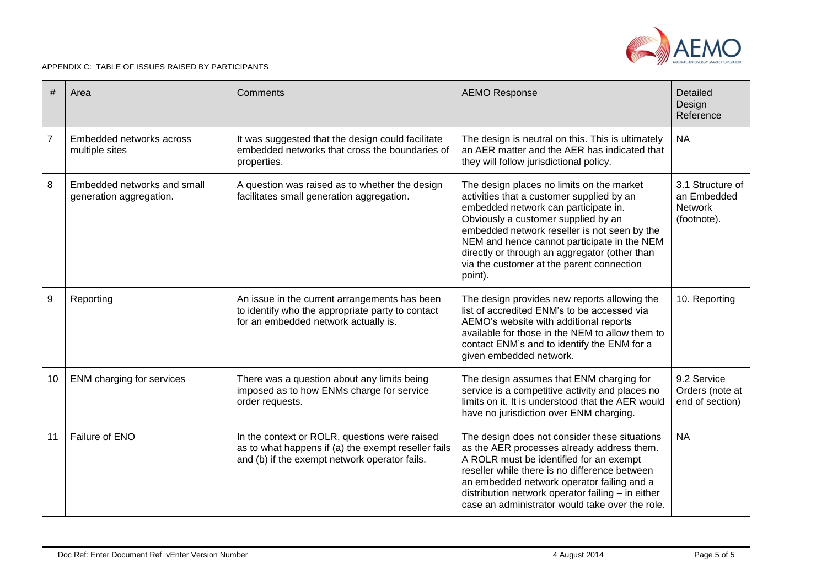

| #              | Area                                                   | Comments                                                                                                                                              | <b>AEMO Response</b>                                                                                                                                                                                                                                                                                                                                                          | Detailed<br>Design<br>Reference                                  |
|----------------|--------------------------------------------------------|-------------------------------------------------------------------------------------------------------------------------------------------------------|-------------------------------------------------------------------------------------------------------------------------------------------------------------------------------------------------------------------------------------------------------------------------------------------------------------------------------------------------------------------------------|------------------------------------------------------------------|
| $\overline{7}$ | Embedded networks across<br>multiple sites             | It was suggested that the design could facilitate<br>embedded networks that cross the boundaries of<br>properties.                                    | The design is neutral on this. This is ultimately<br>an AER matter and the AER has indicated that<br>they will follow jurisdictional policy.                                                                                                                                                                                                                                  | <b>NA</b>                                                        |
| $\,8\,$        | Embedded networks and small<br>generation aggregation. | A question was raised as to whether the design<br>facilitates small generation aggregation.                                                           | The design places no limits on the market<br>activities that a customer supplied by an<br>embedded network can participate in.<br>Obviously a customer supplied by an<br>embedded network reseller is not seen by the<br>NEM and hence cannot participate in the NEM<br>directly or through an aggregator (other than<br>via the customer at the parent connection<br>point). | 3.1 Structure of<br>an Embedded<br><b>Network</b><br>(footnote). |
| $9\,$          | Reporting                                              | An issue in the current arrangements has been<br>to identify who the appropriate party to contact<br>for an embedded network actually is.             | The design provides new reports allowing the<br>list of accredited ENM's to be accessed via<br>AEMO's website with additional reports<br>available for those in the NEM to allow them to<br>contact ENM's and to identify the ENM for a<br>given embedded network.                                                                                                            | 10. Reporting                                                    |
| 10             | <b>ENM</b> charging for services                       | There was a question about any limits being<br>imposed as to how ENMs charge for service<br>order requests.                                           | The design assumes that ENM charging for<br>service is a competitive activity and places no<br>limits on it. It is understood that the AER would<br>have no jurisdiction over ENM charging.                                                                                                                                                                                   | 9.2 Service<br>Orders (note at<br>end of section)                |
| 11             | Failure of ENO                                         | In the context or ROLR, questions were raised<br>as to what happens if (a) the exempt reseller fails<br>and (b) if the exempt network operator fails. | The design does not consider these situations<br>as the AER processes already address them.<br>A ROLR must be identified for an exempt<br>reseller while there is no difference between<br>an embedded network operator failing and a<br>distribution network operator failing - in either<br>case an administrator would take over the role.                                 | <b>NA</b>                                                        |